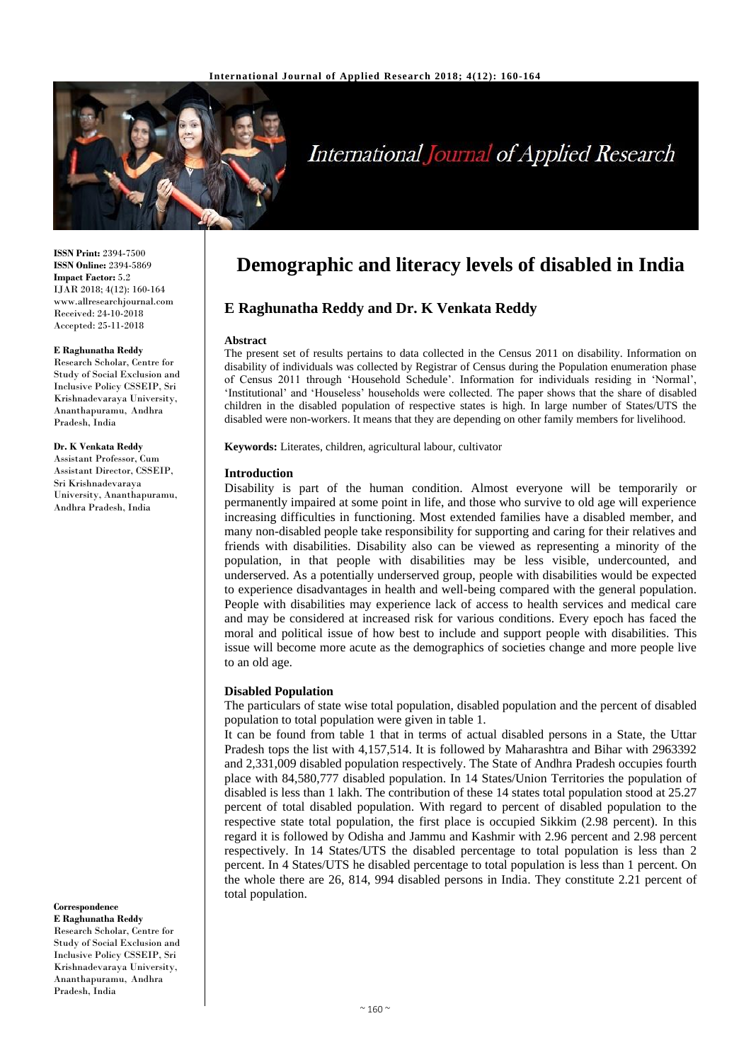

# **International Journal of Applied Research**

**ISSN Print:** 2394-7500 **ISSN Online:** 2394-5869 **Impact Factor:** 5.2 IJAR 2018; 4(12): 160-164 www.allresearchjournal.com Received: 24-10-2018 Accepted: 25-11-2018

#### **E Raghunatha Reddy**

Research Scholar, Centre for Study of Social Exclusion and Inclusive Policy CSSEIP, Sri Krishnadevaraya University, Ananthapuramu, Andhra Pradesh, India

#### **Dr. K Venkata Reddy**

Assistant Professor, Cum Assistant Director, CSSEIP, Sri Krishnadevaraya University, Ananthapuramu, Andhra Pradesh, India

**Correspondence**

**E Raghunatha Reddy** Research Scholar, Centre for Study of Social Exclusion and Inclusive Policy CSSEIP, Sri Krishnadevaraya University, Ananthapuramu, Andhra Pradesh, India

# **Demographic and literacy levels of disabled in India**

# **E Raghunatha Reddy and Dr. K Venkata Reddy**

#### **Abstract**

The present set of results pertains to data collected in the Census 2011 on disability. Information on disability of individuals was collected by Registrar of Census during the Population enumeration phase of Census 2011 through 'Household Schedule'. Information for individuals residing in 'Normal', 'Institutional' and 'Houseless' households were collected. The paper shows that the share of disabled children in the disabled population of respective states is high. In large number of States/UTS the disabled were non-workers. It means that they are depending on other family members for livelihood.

**Keywords:** Literates, children, agricultural labour, cultivator

#### **Introduction**

Disability is part of the human condition. Almost everyone will be temporarily or permanently impaired at some point in life, and those who survive to old age will experience increasing difficulties in functioning. Most extended families have a disabled member, and many non-disabled people take responsibility for supporting and caring for their relatives and friends with disabilities. Disability also can be viewed as representing a minority of the population, in that people with disabilities may be less visible, undercounted, and underserved. As a potentially underserved group, people with disabilities would be expected to experience disadvantages in health and well-being compared with the general population. People with disabilities may experience lack of access to health services and medical care and may be considered at increased risk for various conditions. Every epoch has faced the moral and political issue of how best to include and support people with disabilities. This issue will become more acute as the demographics of societies change and more people live to an old age.

#### **Disabled Population**

The particulars of state wise total population, disabled population and the percent of disabled population to total population were given in table 1.

It can be found from table 1 that in terms of actual disabled persons in a State, the Uttar Pradesh tops the list with 4,157,514. It is followed by Maharashtra and Bihar with 2963392 and 2,331,009 disabled population respectively. The State of Andhra Pradesh occupies fourth place with 84,580,777 disabled population. In 14 States/Union Territories the population of disabled is less than 1 lakh. The contribution of these 14 states total population stood at 25.27 percent of total disabled population. With regard to percent of disabled population to the respective state total population, the first place is occupied Sikkim (2.98 percent). In this regard it is followed by Odisha and Jammu and Kashmir with 2.96 percent and 2.98 percent respectively. In 14 States/UTS the disabled percentage to total population is less than 2 percent. In 4 States/UTS he disabled percentage to total population is less than 1 percent. On the whole there are 26, 814, 994 disabled persons in India. They constitute 2.21 percent of total population.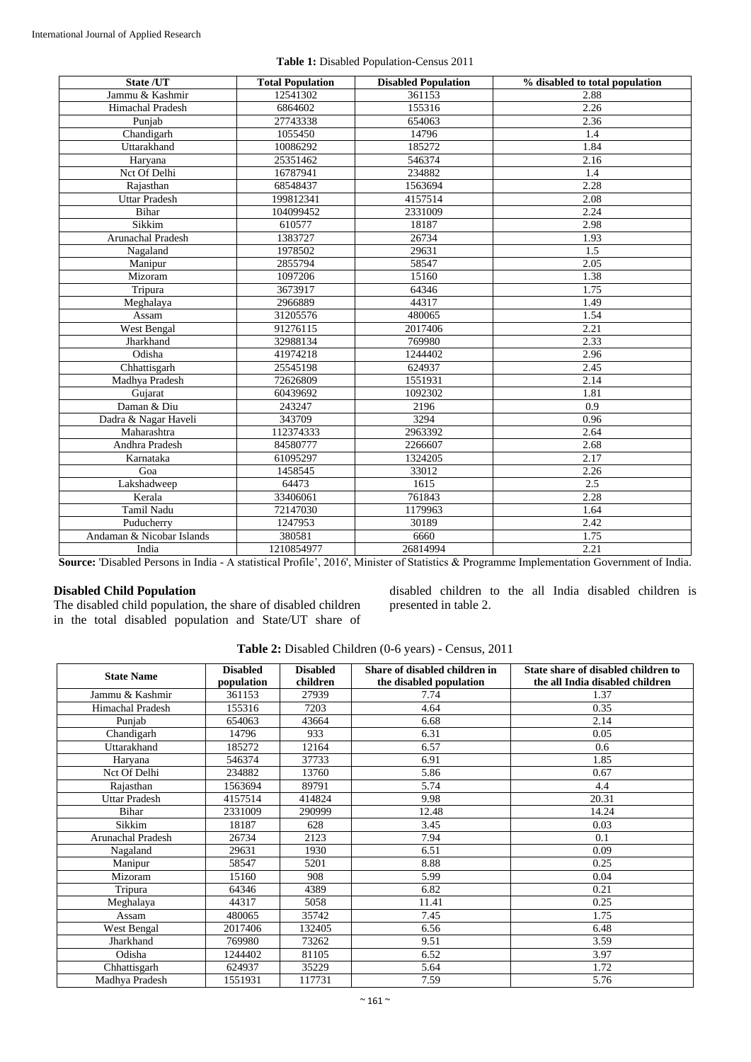| State /UT                 | <b>Total Population</b> | <b>Disabled Population</b> | % disabled to total population                                                                                                    |
|---------------------------|-------------------------|----------------------------|-----------------------------------------------------------------------------------------------------------------------------------|
| Jammu & Kashmir           | 12541302                | 361153                     | 2.88                                                                                                                              |
| Himachal Pradesh          | 6864602                 | 155316                     | 2.26                                                                                                                              |
| Punjab                    | 27743338                | 654063                     | 2.36                                                                                                                              |
| Chandigarh                | 1055450                 | 14796                      | 1.4                                                                                                                               |
| Uttarakhand               | 10086292                | 185272                     | 1.84                                                                                                                              |
| Haryana                   | 25351462                | 546374                     | 2.16                                                                                                                              |
| Nct Of Delhi              | 16787941                | 234882                     | 1.4                                                                                                                               |
| Rajasthan                 | 68548437                | 1563694                    | 2.28                                                                                                                              |
| <b>Uttar Pradesh</b>      | 199812341               | 4157514                    | 2.08                                                                                                                              |
| Bihar                     | 104099452               | 2331009                    | 2.24                                                                                                                              |
| Sikkim                    | 610577                  | 18187                      | 2.98                                                                                                                              |
| Arunachal Pradesh         | 1383727                 | 26734                      | 1.93                                                                                                                              |
| Nagaland                  | 1978502                 | 29631                      | 1.5                                                                                                                               |
| Manipur                   | 2855794                 | 58547                      | 2.05                                                                                                                              |
| Mizoram                   | 1097206                 | 15160                      | 1.38                                                                                                                              |
| Tripura                   | 3673917                 | 64346                      | 1.75                                                                                                                              |
| Meghalaya                 | 2966889                 | 44317                      | 1.49                                                                                                                              |
| Assam                     | 31205576                | 480065                     | 1.54                                                                                                                              |
| West Bengal               | 91276115                | 2017406                    | 2.21                                                                                                                              |
| Jharkhand                 | 32988134                | 769980                     | 2.33                                                                                                                              |
| Odisha                    | 41974218                | 1244402                    | 2.96                                                                                                                              |
| Chhattisgarh              | 25545198                | 624937                     | 2.45                                                                                                                              |
| Madhya Pradesh            | 72626809                | 1551931                    | 2.14                                                                                                                              |
| Gujarat                   | 60439692                | 1092302                    | 1.81                                                                                                                              |
| Daman & Diu               | 243247                  | 2196                       | 0.9                                                                                                                               |
| Dadra & Nagar Haveli      | 343709                  | 3294                       | 0.96                                                                                                                              |
| Maharashtra               | 112374333               | 2963392                    | 2.64                                                                                                                              |
| Andhra Pradesh            | 84580777                | 2266607                    | 2.68                                                                                                                              |
| Karnataka                 | 61095297                | 1324205                    | 2.17                                                                                                                              |
| Goa                       | 1458545                 | 33012                      | 2.26                                                                                                                              |
| Lakshadweep               | 64473                   | 1615                       | 2.5                                                                                                                               |
| Kerala                    | 33406061                | 761843                     | 2.28                                                                                                                              |
| Tamil Nadu                | 72147030                | 1179963                    | 1.64                                                                                                                              |
| Puducherry                | 1247953                 | 30189                      | 2.42                                                                                                                              |
| Andaman & Nicobar Islands | 380581                  | 6660                       | 1.75                                                                                                                              |
| India                     | 1210854977              | 26814994                   | 2.21                                                                                                                              |
|                           |                         |                            | Course Dischlod Persons in India A statistical Profile, 2016; Minister of Statistics & Programma Innovatorian Government of India |

**Table 1:** Disabled Population-Census 2011

**Source:** 'Disabled Persons in India - A statistical Profile', 2016', Minister of Statistics & Programme Implementation Government of India.

## **Disabled Child Population**

The disabled child population, the share of disabled children in the total disabled population and State/UT share of disabled children to the all India disabled children is presented in table 2.

| Table 2: Disabled Children (0-6 years) - Census, 2011 |  |  |  |
|-------------------------------------------------------|--|--|--|
|-------------------------------------------------------|--|--|--|

| <b>State Name</b>    | <b>Disabled</b><br>population | <b>Disabled</b><br>children | Share of disabled children in<br>the disabled population | State share of disabled children to<br>the all India disabled children |
|----------------------|-------------------------------|-----------------------------|----------------------------------------------------------|------------------------------------------------------------------------|
| Jammu & Kashmir      | 361153                        | 27939                       | 7.74                                                     | 1.37                                                                   |
| Himachal Pradesh     | 155316                        | 7203                        | 4.64                                                     | 0.35                                                                   |
| Punjab               | 654063                        | 43664                       | 6.68                                                     | 2.14                                                                   |
| Chandigarh           | 14796                         | 933                         | 6.31                                                     | 0.05                                                                   |
| Uttarakhand          | 185272                        | 12164                       | 6.57                                                     | 0.6                                                                    |
| Haryana              | 546374                        | 37733                       | 6.91                                                     | 1.85                                                                   |
| Nct Of Delhi         | 234882                        | 13760                       | 5.86                                                     | 0.67                                                                   |
| Rajasthan            | 1563694                       | 89791                       | 5.74                                                     | 4.4                                                                    |
| <b>Uttar Pradesh</b> | 4157514                       | 414824                      | 9.98                                                     | 20.31                                                                  |
| Bihar                | 2331009                       | 290999                      | 12.48                                                    | 14.24                                                                  |
| Sikkim               | 18187                         | 628                         | 3.45                                                     | 0.03                                                                   |
| Arunachal Pradesh    | 26734                         | 2123                        | 7.94                                                     | 0.1                                                                    |
| Nagaland             | 29631                         | 1930                        | 6.51                                                     | 0.09                                                                   |
| Manipur              | 58547                         | 5201                        | 8.88                                                     | 0.25                                                                   |
| Mizoram              | 15160                         | 908                         | 5.99                                                     | 0.04                                                                   |
| Tripura              | 64346                         | 4389                        | 6.82                                                     | 0.21                                                                   |
| Meghalaya            | 44317                         | 5058                        | 11.41                                                    | 0.25                                                                   |
| Assam                | 480065                        | 35742                       | 7.45                                                     | 1.75                                                                   |
| West Bengal          | 2017406                       | 132405                      | 6.56                                                     | 6.48                                                                   |
| Jharkhand            | 769980                        | 73262                       | 9.51                                                     | 3.59                                                                   |
| Odisha               | 1244402                       | 81105                       | 6.52                                                     | 3.97                                                                   |
| Chhattisgarh         | 624937                        | 35229                       | 5.64                                                     | 1.72                                                                   |
| Madhya Pradesh       | 1551931                       | 117731                      | 7.59                                                     | 5.76                                                                   |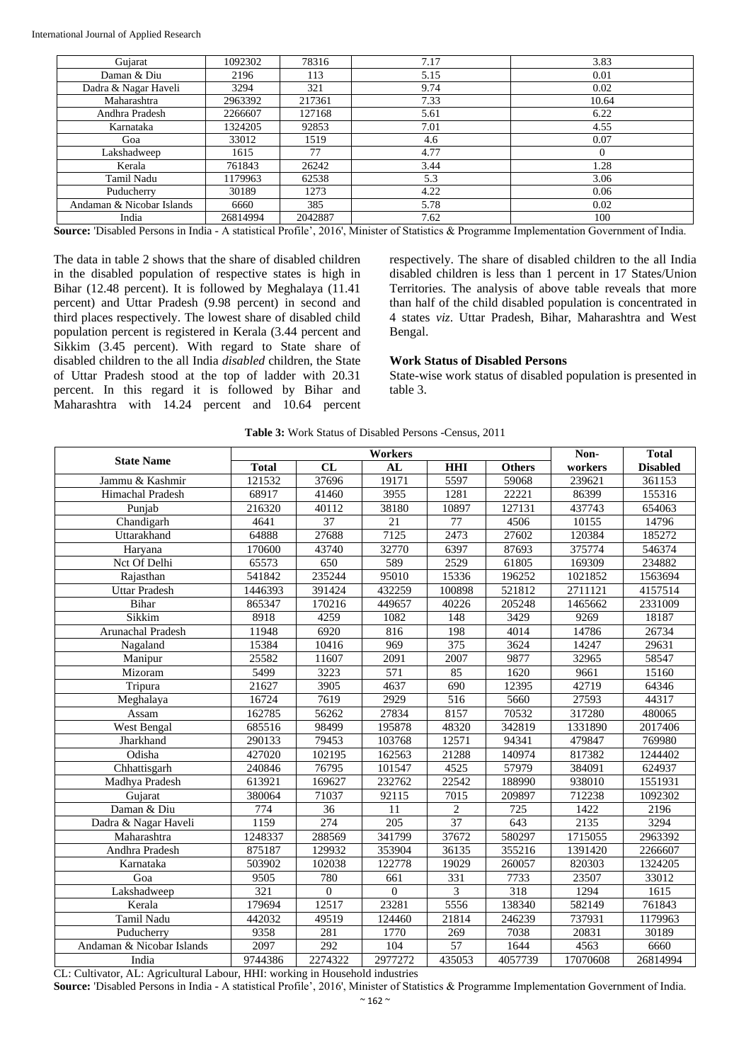| Gujarat                   | 1092302  | 78316   | 7.17 | 3.83     |
|---------------------------|----------|---------|------|----------|
| Daman & Diu               | 2196     | 113     | 5.15 | 0.01     |
| Dadra & Nagar Haveli      | 3294     | 321     | 9.74 | 0.02     |
| Maharashtra               | 2963392  | 217361  | 7.33 | 10.64    |
| Andhra Pradesh            | 2266607  | 127168  | 5.61 | 6.22     |
| Karnataka                 | 1324205  | 92853   | 7.01 | 4.55     |
| Goa                       | 33012    | 1519    | 4.6  | 0.07     |
| Lakshadweep               | 1615     | 77      | 4.77 | $\Omega$ |
| Kerala                    | 761843   | 26242   | 3.44 | 1.28     |
| Tamil Nadu                | 1179963  | 62538   | 5.3  | 3.06     |
| Puducherry                | 30189    | 1273    | 4.22 | 0.06     |
| Andaman & Nicobar Islands | 6660     | 385     | 5.78 | 0.02     |
| India                     | 26814994 | 2042887 | 7.62 | 100      |

**Source:** 'Disabled Persons in India - A statistical Profile', 2016', Minister of Statistics & Programme Implementation Government of India.

The data in table 2 shows that the share of disabled children in the disabled population of respective states is high in Bihar (12.48 percent). It is followed by Meghalaya (11.41 percent) and Uttar Pradesh (9.98 percent) in second and third places respectively. The lowest share of disabled child population percent is registered in Kerala (3.44 percent and Sikkim (3.45 percent). With regard to State share of disabled children to the all India *disabled* children, the State of Uttar Pradesh stood at the top of ladder with 20.31 percent. In this regard it is followed by Bihar and Maharashtra with 14.24 percent and 10.64 percent respectively. The share of disabled children to the all India disabled children is less than 1 percent in 17 States/Union Territories. The analysis of above table reveals that more than half of the child disabled population is concentrated in 4 states *viz*. Uttar Pradesh, Bihar, Maharashtra and West Bengal.

#### **Work Status of Disabled Persons**

State-wise work status of disabled population is presented in table 3.

|                           | Workers          |                 |                 |                  |                  | Non-     | <b>Total</b>     |
|---------------------------|------------------|-----------------|-----------------|------------------|------------------|----------|------------------|
| <b>State Name</b>         | <b>Total</b>     | CL              | AI              | <b>HHI</b>       | <b>Others</b>    | workers  | <b>Disabled</b>  |
| Jammu & Kashmir           | 121532           | 37696           | 19171           | 5597             | 59068            | 239621   | 361153           |
| <b>Himachal Pradesh</b>   | 68917            | 41460           | 3955            | 1281             | 22221            | 86399    | 155316           |
| Punjab                    | 216320           | 40112           | 38180           | 10897            | 127131           | 437743   | 654063           |
| Chandigarh                | 4641             | $\overline{37}$ | $\overline{21}$ | $\overline{77}$  | 4506             | 10155    | 14796            |
| Uttarakhand               | 64888            | 27688           | 7125            | 2473             | 27602            | 120384   | 185272           |
| Haryana                   | 170600           | 43740           | 32770           | 6397             | 87693            | 375774   | 546374           |
| Nct Of Delhi              | 65573            | 650             | 589             | 2529             | 61805            | 169309   | 234882           |
| Rajasthan                 | 541842           | 235244          | 95010           | 15336            | 196252           | 1021852  | 1563694          |
| <b>Uttar Pradesh</b>      | 1446393          | 391424          | 432259          | 100898           | 521812           | 2711121  | 4157514          |
| <b>Bihar</b>              | 865347           | 170216          | 449657          | 40226            | 205248           | 1465662  | 2331009          |
| Sikkim                    | 8918             | 4259            | 1082            | 148              | 3429             | 9269     | 18187            |
| <b>Arunachal Pradesh</b>  | 11948            | 6920            | 816             | 198              | 4014             | 14786    | 26734            |
| Nagaland                  | 15384            | 10416           | 969             | $\overline{375}$ | 3624             | 14247    | 29631            |
| Manipur                   | 25582            | 11607           | 2091            | 2007             | 9877             | 32965    | 58547            |
| Mizoram                   | 5499             | 3223            | 571             | 85               | 1620             | 9661     | 15160            |
| Tripura                   | 21627            | 3905            | 4637            | 690              | 12395            | 42719    | 64346            |
| Meghalaya                 | 16724            | 7619            | 2929            | 516              | 5660             | 27593    | 44317            |
| Assam                     | 162785           | 56262           | 27834           | 8157             | 70532            | 317280   | 480065           |
| West Bengal               | 685516           | 98499           | 195878          | 48320            | 342819           | 1331890  | 2017406          |
| Jharkhand                 | 290133           | 79453           | 103768          | 12571            | 94341            | 479847   | 769980           |
| Odisha                    | 427020           | 102195          | 162563          | 21288            | 140974           | 817382   | 1244402          |
| Chhattisgarh              | 240846           | 76795           | 101547          | 4525             | 57979            | 384091   | 624937           |
| Madhya Pradesh            | 613921           | 169627          | 232762          | 22542            | 188990           | 938010   | 1551931          |
| Gujarat                   | 380064           | 71037           | 92115           | 7015             | 209897           | 712238   | 1092302          |
| Daman & Diu               | 774              | 36              | 11              | 2                | 725              | 1422     | 2196             |
| Dadra & Nagar Haveli      | 1159             | 274             | 205             | 37               | 643              | 2135     | 3294             |
| Maharashtra               | 1248337          | 288569          | 341799          | 37672            | 580297           | 1715055  | 2963392          |
| Andhra Pradesh            | 875187           | 129932          | 353904          | 36135            | 355216           | 1391420  | 2266607          |
| Karnataka                 | 503902           | 102038          | 122778          | 19029            | 260057           | 820303   | 1324205          |
| Goa                       | 9505             | 780             | 661             | $\overline{331}$ | 7733             | 23507    | 33012            |
| Lakshadweep               | $\overline{321}$ | $\overline{0}$  | $\mathbf{0}$    | 3                | $\overline{318}$ | 1294     | $\frac{1615}{2}$ |
| Kerala                    | 179694           | 12517           | 23281           | 5556             | 138340           | 582149   | 761843           |
| <b>Tamil Nadu</b>         | 442032           | 49519           | 124460          | 21814            | 246239           | 737931   | 1179963          |
| Puducherry                | 9358             | 281             | 1770            | 269              | 7038             | 20831    | 30189            |
| Andaman & Nicobar Islands | 2097             | 292             | 104             | 57               | 1644             | 4563     | 6660             |
| India                     | 9744386          | 2274322         | 2977272         | 435053           | 4057739          | 17070608 | 26814994         |

**Table 3:** Work Status of Disabled Persons -Census, 2011

CL: Cultivator, AL: Agricultural Labour, HHI: working in Household industries **Source:** 'Disabled Persons in India - A statistical Profile', 2016', Minister of Statistics & Programme Implementation Government of India.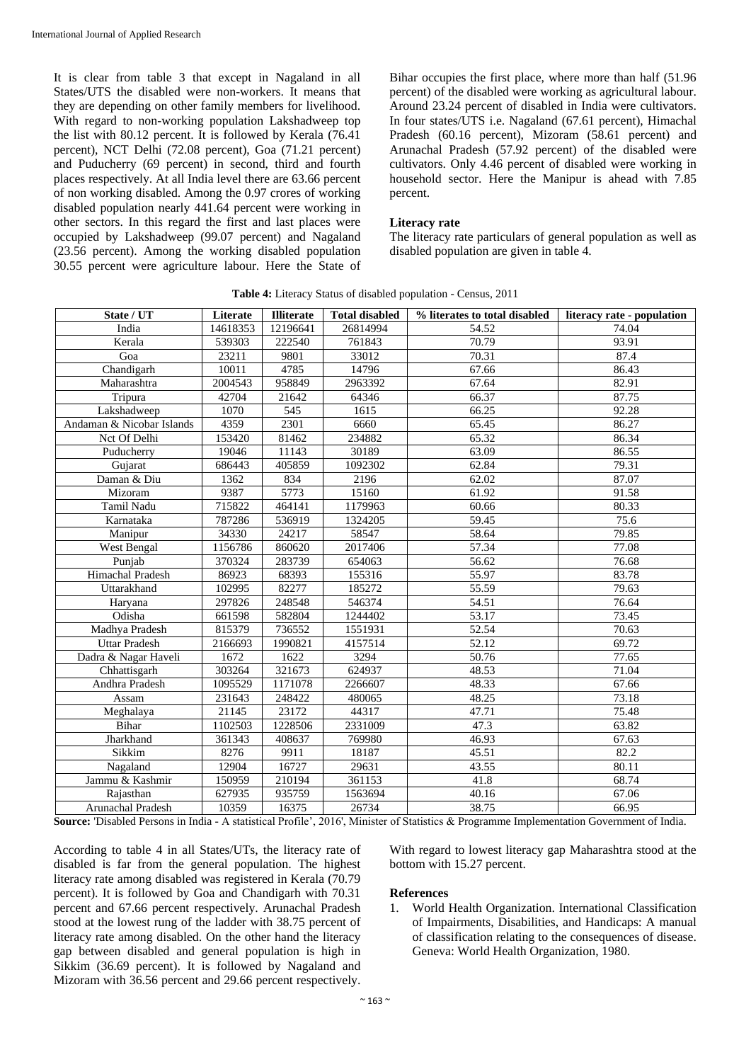It is clear from table 3 that except in Nagaland in all States/UTS the disabled were non-workers. It means that they are depending on other family members for livelihood. With regard to non-working population Lakshadweep top the list with 80.12 percent. It is followed by Kerala (76.41 percent), NCT Delhi (72.08 percent), Goa (71.21 percent) and Puducherry (69 percent) in second, third and fourth places respectively. At all India level there are 63.66 percent of non working disabled. Among the 0.97 crores of working disabled population nearly 441.64 percent were working in other sectors. In this regard the first and last places were occupied by Lakshadweep (99.07 percent) and Nagaland (23.56 percent). Among the working disabled population 30.55 percent were agriculture labour. Here the State of

Bihar occupies the first place, where more than half (51.96 percent) of the disabled were working as agricultural labour. Around 23.24 percent of disabled in India were cultivators. In four states/UTS i.e. Nagaland (67.61 percent), Himachal Pradesh (60.16 percent), Mizoram (58.61 percent) and Arunachal Pradesh (57.92 percent) of the disabled were cultivators. Only 4.46 percent of disabled were working in household sector. Here the Manipur is ahead with 7.85 percent.

### **Literacy rate**

The literacy rate particulars of general population as well as disabled population are given in table 4.

| State / UT                | Literate | <b>Illiterate</b> | <b>Total disabled</b> | % literates to total disabled | literacy rate - population |
|---------------------------|----------|-------------------|-----------------------|-------------------------------|----------------------------|
| India                     | 14618353 | 12196641          | 26814994              | 54.52                         | 74.04                      |
| Kerala                    | 539303   | 222540            | 761843                | 70.79                         | 93.91                      |
| Goa                       | 23211    | 9801              | 33012                 | 70.31                         | 87.4                       |
| Chandigarh                | 10011    | 4785              | 14796                 | 67.66                         | 86.43                      |
| Maharashtra               | 2004543  | 958849            | 2963392               | 67.64                         | 82.91                      |
| Tripura                   | 42704    | 21642             | 64346                 | 66.37                         | 87.75                      |
| Lakshadweep               | 1070     | 545               | 1615                  | 66.25                         | 92.28                      |
| Andaman & Nicobar Islands | 4359     | 2301              | 6660                  | 65.45                         | 86.27                      |
| Nct Of Delhi              | 153420   | 81462             | 234882                | 65.32                         | 86.34                      |
| Puducherry                | 19046    | 11143             | 30189                 | 63.09                         | 86.55                      |
| Gujarat                   | 686443   | 405859            | 1092302               | 62.84                         | 79.31                      |
| Daman & Diu               | 1362     | 834               | 2196                  | 62.02                         | 87.07                      |
| Mizoram                   | 9387     | 5773              | 15160                 | 61.92                         | 91.58                      |
| Tamil Nadu                | 715822   | 464141            | 1179963               | 60.66                         | 80.33                      |
| Karnataka                 | 787286   | 536919            | 1324205               | 59.45                         | 75.6                       |
| Manipur                   | 34330    | 24217             | 58547                 | 58.64                         | 79.85                      |
| West Bengal               | 1156786  | 860620            | 2017406               | 57.34                         | 77.08                      |
| Punjab                    | 370324   | 283739            | 654063                | 56.62                         | 76.68                      |
| Himachal Pradesh          | 86923    | 68393             | 155316                | 55.97                         | 83.78                      |
| Uttarakhand               | 102995   | 82277             | 185272                | 55.59                         | 79.63                      |
| Haryana                   | 297826   | 248548            | 546374                | 54.51                         | 76.64                      |
| Odisha                    | 661598   | 582804            | 1244402               | 53.17                         | 73.45                      |
| Madhya Pradesh            | 815379   | 736552            | 1551931               | 52.54                         | 70.63                      |
| <b>Uttar Pradesh</b>      | 2166693  | 1990821           | 4157514               | 52.12                         | 69.72                      |
| Dadra & Nagar Haveli      | 1672     | 1622              | 3294                  | 50.76                         | 77.65                      |
| Chhattisgarh              | 303264   | 321673            | 624937                | 48.53                         | 71.04                      |
| Andhra Pradesh            | 1095529  | 1171078           | 2266607               | 48.33                         | 67.66                      |
| Assam                     | 231643   | 248422            | 480065                | 48.25                         | 73.18                      |
| Meghalaya                 | 21145    | 23172             | 44317                 | 47.71                         | 75.48                      |
| Bihar                     | 1102503  | 1228506           | 2331009               | 47.3                          | 63.82                      |
| Jharkhand                 | 361343   | 408637            | 769980                | 46.93                         | 67.63                      |
| Sikkim                    | 8276     | 9911              | 18187                 | 45.51                         | 82.2                       |
| Nagaland                  | 12904    | 16727             | 29631                 | 43.55                         | 80.11                      |
| Jammu & Kashmir           | 150959   | 210194            | 361153                | 41.8                          | 68.74                      |
| Rajasthan                 | 627935   | 935759            | 1563694               | 40.16                         | 67.06                      |
| Arunachal Pradesh         | 10359    | 16375             | 26734                 | 38.75                         | 66.95                      |

**Table 4:** Literacy Status of disabled population - Census, 2011

**Source:** 'Disabled Persons in India - A statistical Profile', 2016', Minister of Statistics & Programme Implementation Government of India.

According to table 4 in all States/UTs, the literacy rate of disabled is far from the general population. The highest literacy rate among disabled was registered in Kerala (70.79 percent). It is followed by Goa and Chandigarh with 70.31 percent and 67.66 percent respectively. Arunachal Pradesh stood at the lowest rung of the ladder with 38.75 percent of literacy rate among disabled. On the other hand the literacy gap between disabled and general population is high in Sikkim (36.69 percent). It is followed by Nagaland and Mizoram with 36.56 percent and 29.66 percent respectively.

With regard to lowest literacy gap Maharashtra stood at the bottom with 15.27 percent.

#### **References**

1. World Health Organization. International Classification of Impairments, Disabilities, and Handicaps: A manual of classification relating to the consequences of disease. Geneva: World Health Organization, 1980.